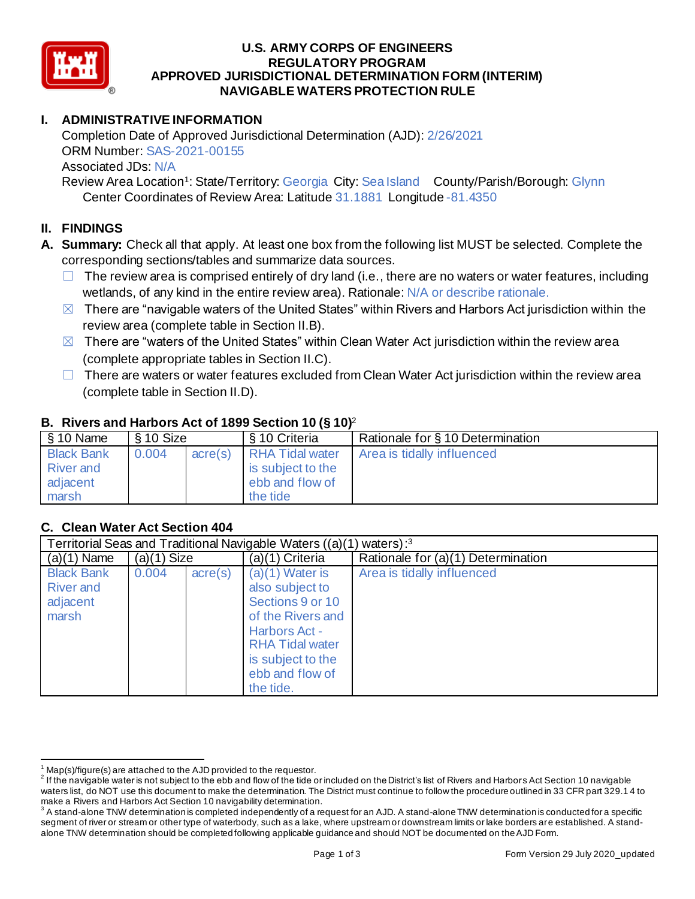

### **U.S. ARMY CORPS OF ENGINEERS APPROVED JURISDICTIONAL DETERMINATION FORM (INTERIM) NAVIGABLE WATERS PROTECTION RULE REGULATORY PROGRAM**

# **I. ADMINISTRATIVE INFORMATION**

 Completion Date of Approved Jurisdictional Determination (AJD): 2/26/2021 ORM Number: SAS-2021-00155 Associated JDs: N/A

Review Area Location<sup>1</sup>: State/Territory: Georgia City: Sea Island County/Parish/Borough: Glynn Center Coordinates of Review Area: Latitude 31.1881 Longitude -81.4350

# **II. FINDINGS**

- **A. Summary:** Check all that apply. At least one box from the following list MUST be selected. Complete the corresponding sections/tables and summarize data sources.
	- $\Box$  The review area is comprised entirely of dry land (i.e., there are no waters or water features, including wetlands, of any kind in the entire review area). Rationale: N/A or describe rationale.
	- $\boxtimes$  There are "navigable waters of the United States" within Rivers and Harbors Act jurisdiction within the review area (complete table in Section II.B).
	- $\boxtimes$  There are "waters of the United States" within Clean Water Act jurisdiction within the review area (complete appropriate tables in Section II.C).
	- $\Box$  There are waters or water features excluded from Clean Water Act jurisdiction within the review area (complete table in Section II.D).

### **B. Rivers and Harbors Act of 1899 Section 10 (§ 10)**<sup>2</sup>

| $\frac{1}{2}$ \$ 10 Name                                   | § 10 Size |         | § 10 Criteria                                                              | Rationale for § 10 Determination |
|------------------------------------------------------------|-----------|---------|----------------------------------------------------------------------------|----------------------------------|
| <b>Black Bank</b><br><b>River</b> and<br>adjacent<br>marsh | 0.004     | acre(s) | <b>RHA Tidal water</b><br>is subject to the<br>ebb and flow of<br>the tide | Area is tidally influenced       |

# **C. Clean Water Act Section 404**

| Territorial Seas and Traditional Navigable Waters ((a)(1) waters): <sup>3</sup> |               |                  |                                                                                                                                                                                      |                                    |  |
|---------------------------------------------------------------------------------|---------------|------------------|--------------------------------------------------------------------------------------------------------------------------------------------------------------------------------------|------------------------------------|--|
| $(a)(1)$ Name                                                                   | $(a)(1)$ Size |                  | (a)(1) Criteria                                                                                                                                                                      | Rationale for (a)(1) Determination |  |
| <b>Black Bank</b><br><b>River and</b><br>adjacent<br>marsh                      | 0.004         | $\text{acre}(s)$ | $(a)(1)$ Water is<br>also subject to<br>Sections 9 or 10<br>of the Rivers and<br><b>Harbors Act -</b><br><b>RHA Tidal water</b><br>is subject to the<br>ebb and flow of<br>the tide. | Area is tidally influenced         |  |

 $1$  Map(s)/figure(s) are attached to the AJD provided to the requestor.

 $^2$  If the navigable water is not subject to the ebb and flow of the tide or included on the District's list of Rivers and Harbors Act Section 10 navigable waters list, do NOT use this document to make the determination. The District must continue to follow the procedure outlined in 33 CFR part 329.1 4 to make a Rivers and Harbors Act Section 10 navigability determination.

 $^3$  A stand-alone TNW determination is completed independently of a request for an AJD. A stand-alone TNW determination is conducted for a specific segment of river or stream or other type of waterbody, such as a lake, where upstream or downstream limits or lake borders are established. A stand-alone TNW determination should be completed following applicable guidance and should NOT be documented on the AJD Form.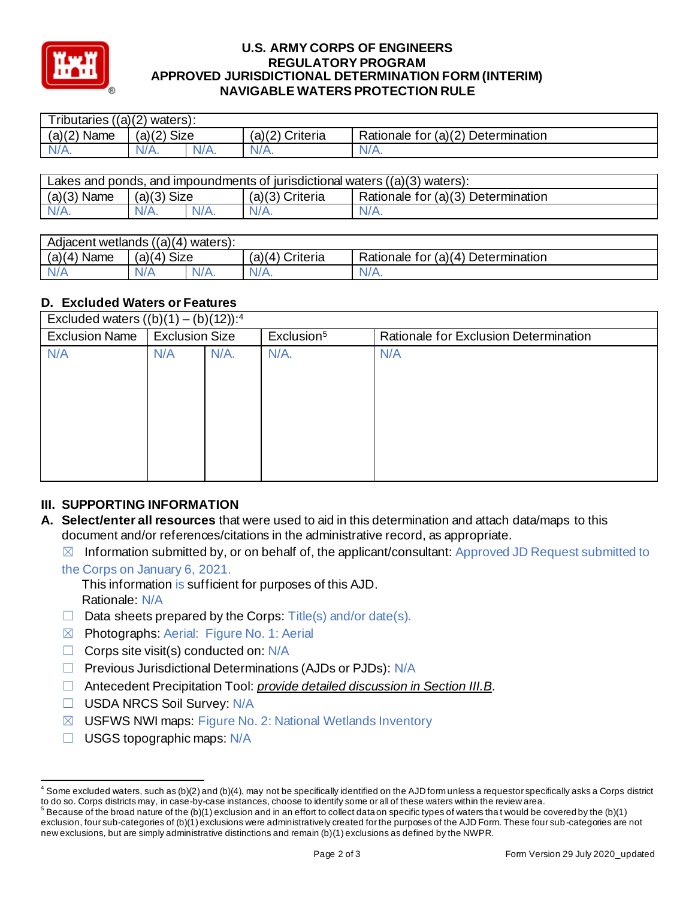

#### **U.S. ARMY CORPS OF ENGINEERS APPROVED JURISDICTIONAL DETERMINATION FORM (INTERIM) NAVIGABLE WATERS PROTECTION RULE REGULATORY PROGRAM**

| Tributaries $((a)(2)$ waters): |               |         |                 |                                    |  |
|--------------------------------|---------------|---------|-----------------|------------------------------------|--|
| $(a)(2)$ Name                  | $(a)(2)$ Size |         | (a)(2) Criteria | Rationale for (a)(2) Determination |  |
| $N/A$ .                        | $N/A$ .       | $N/A$ . | $N/A$ .         | $N/A$ .                            |  |
|                                |               |         |                 |                                    |  |

| Lakes and ponds, and impoundments of jurisdictional waters $((a)(3)$ waters): |               |  |                   |                                    |  |
|-------------------------------------------------------------------------------|---------------|--|-------------------|------------------------------------|--|
| $(a)(3)$ Name                                                                 | $(a)(3)$ Size |  | $(a)(3)$ Criteria | Rationale for (a)(3) Determination |  |
|                                                                               | $N/A$ .       |  |                   | $N/A$ .                            |  |
|                                                                               |               |  |                   |                                    |  |

| Adjacent wetlands ((a)(4) waters): |                                                |           |                    |                                         |  |
|------------------------------------|------------------------------------------------|-----------|--------------------|-----------------------------------------|--|
| Name<br>(a)(4)                     | <b>Size</b><br>$\langle \Delta \rangle$<br>(a) |           | (a)(4)<br>Criteria | Determination<br>Rationale for $(a)(4)$ |  |
| N/f                                | N/A                                            | N/<br>7А. |                    | $N/A$ .                                 |  |
|                                    |                                                |           |                    |                                         |  |

# **D. Excluded Waters or Features**

| D. Excluded Waters or Features                      |         |                        |                                       |  |  |
|-----------------------------------------------------|---------|------------------------|---------------------------------------|--|--|
| Excluded waters $((b)(1) - (b)(12))$ : <sup>4</sup> |         |                        |                                       |  |  |
| <b>Exclusion Size</b><br>Exclusion Name             |         | Exclusion <sup>5</sup> | Rationale for Exclusion Determination |  |  |
| N/A                                                 | $N/A$ . | $N/A$ .                | N/A                                   |  |  |
|                                                     |         |                        |                                       |  |  |
|                                                     |         |                        |                                       |  |  |
|                                                     |         |                        |                                       |  |  |
|                                                     |         |                        |                                       |  |  |
|                                                     |         |                        |                                       |  |  |
|                                                     |         |                        |                                       |  |  |
|                                                     |         |                        |                                       |  |  |
|                                                     |         |                        |                                       |  |  |

### **III. SUPPORTING INFORMATION**

- **A. Select/enter all resources** that were used to aid in this determination and attach data/maps to this document and/or references/citations in the administrative record, as appropriate.
	- $\boxtimes$  Information submitted by, or on behalf of, the applicant/consultant: Approved JD Request submitted to
	- the Corps on January 6, 2021.
		- This information is sufficient for purposes of this AJD. Rationale: N/A
	- $\Box$  Data sheets prepared by the Corps: Title(s) and/or date(s).
	- ☒ Photographs: Aerial: Figure No. 1: Aerial
	- $\Box$  Corps site visit(s) conducted on: N/A
	- □ Previous Jurisdictional Determinations (AJDs or PJDs): N/A
	- ☐ Antecedent Precipitation Tool: *provide detailed discussion in Section III.B*.
	- ☐ USDA NRCS Soil Survey: N/A
	- ☒ USFWS NWI maps: Figure No. 2: National Wetlands Inventory
	- □ USGS topographic maps: N/A

 $^4$  Some excluded waters, such as (b)(2) and (b)(4), may not be specifically identified on the AJD form unless a requestor specifically asks a Corps district to do so. Corps districts may, in case-by-case instances, choose to identify some or all of these waters within the review area. to do so. Corps districts may, in case-by-case instances, choose to identify some or all of these waters within the review area.<br><sup>5</sup> Because of the broad nature of the (b)(1) exclusion and in an effort to collect dataon sp

 exclusion, four sub-categories of (b)(1) exclusions were administratively created for the purposes of the AJD Form. These four sub -categories are not new exclusions, but are simply administrative distinctions and remain (b)(1) exclusions as defined by the NWPR.